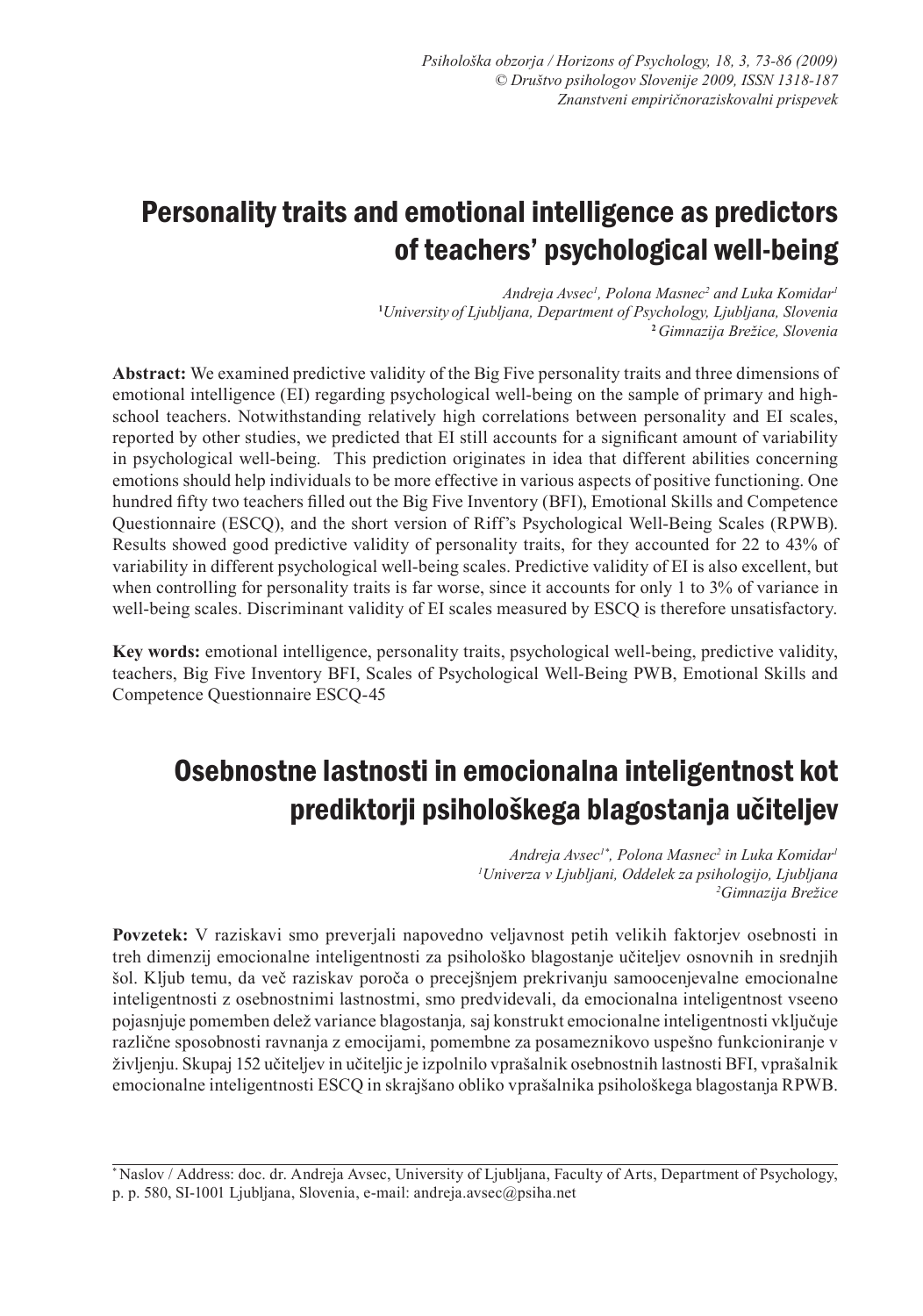# Personality traits and emotional intelligence as predictors of teachers' psychological well-being

*Andreja Avsec<sup>1</sup> , Polona Masnec<sup>2</sup> and Luka Komidar1* **1** *University of Ljubljana, Department of Psychology, Ljubljana, Slovenia* **<sup>2</sup>***Gimnazija Brežice, Slovenia*

**Abstract:** We examined predictive validity of the Big Five personality traits and three dimensions of emotional intelligence (EI) regarding psychological well-being on the sample of primary and highschool teachers. Notwithstanding relatively high correlations between personality and EI scales, reported by other studies, we predicted that EI still accounts for a significant amount of variability in psychological well-being. This prediction originates in idea that different abilities concerning emotions should help individuals to be more effective in various aspects of positive functioning. One hundred fifty two teachers filled out the Big Five Inventory (BFI), Emotional Skills and Competence Questionnaire (ESCQ), and the short version of Riff's Psychological Well-Being Scales (RPWB). Results showed good predictive validity of personality traits, for they accounted for 22 to 43% of variability in different psychological well-being scales. Predictive validity of EI is also excellent, but when controlling for personality traits is far worse, since it accounts for only 1 to 3% of variance in well-being scales. Discriminant validity of EI scales measured by ESCQ is therefore unsatisfactory.

**Key words:** emotional intelligence, personality traits, psychological well-being, predictive validity, teachers, Big Five Inventory BFI, Scales of Psychological Well-Being PWB, Emotional Skills and Competence Questionnaire ESCQ-45

# Osebnostne lastnosti in emocionalna inteligentnost kot prediktorji psihološkega blagostanja učiteljev

*Andreja Avsec1\*, Polona Masnec<sup>2</sup> in Luka Komidar1 1 Univerza v Ljubljani, Oddelek za psihologijo, Ljubljana 2 Gimnazija Brežice*

**Povzetek:** V raziskavi smo preverjali napovedno veljavnost petih velikih faktorjev osebnosti in treh dimenzij emocionalne inteligentnosti za psihološko blagostanje učiteljev osnovnih in srednjih šol. Kljub temu, da več raziskav poroča o precejšnjem prekrivanju samoocenjevalne emocionalne inteligentnosti z osebnostnimi lastnostmi, smo predvidevali, da emocionalna inteligentnost vseeno pojasnjuje pomemben delež variance blagostanja*,* saj konstrukt emocionalne inteligentnosti vključuje različne sposobnosti ravnanja z emocijami, pomembne za posameznikovo uspešno funkcioniranje v življenju. Skupaj 152 učiteljev in učiteljic je izpolnilo vprašalnik osebnostnih lastnosti BFI, vprašalnik emocionalne inteligentnosti ESCQ in skrajšano obliko vprašalnika psihološkega blagostanja RPWB.

\* Naslov / Address: doc. dr. Andreja Avsec, University of Ljubljana, Faculty of Arts, Department of Psychology, p. p. 580, SI-1001 Ljubljana, Slovenia, e-mail: andreja.avsec@psiha.net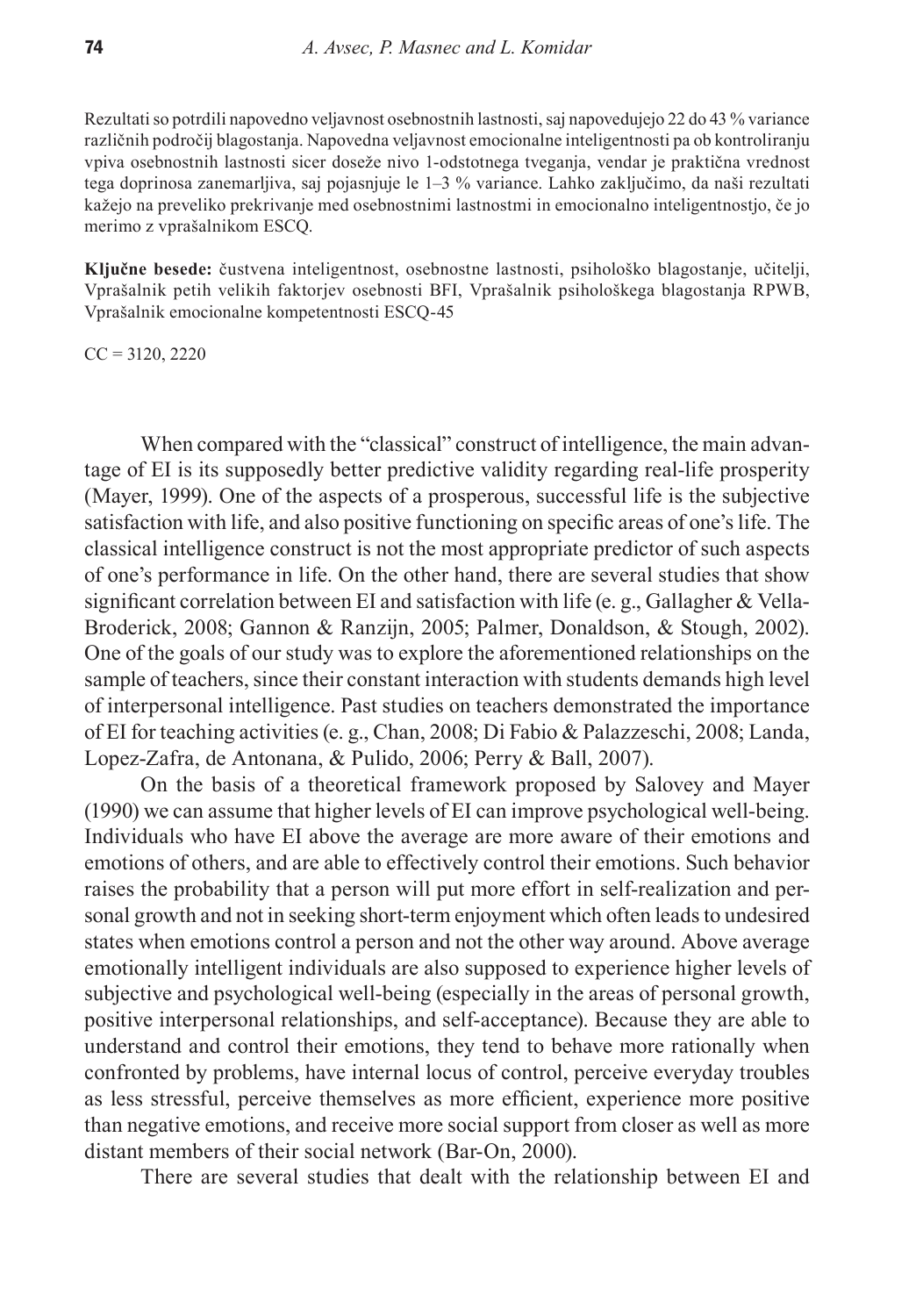Rezultati so potrdili napovedno veljavnost osebnostnih lastnosti, saj napovedujejo 22 do 43 % variance različnih področij blagostanja. Napovedna veljavnost emocionalne inteligentnosti pa ob kontroliranju vpiva osebnostnih lastnosti sicer doseže nivo 1-odstotnega tveganja, vendar je praktična vrednost tega doprinosa zanemarljiva, saj pojasnjuje le 1–3 % variance. Lahko zaključimo, da naši rezultati kažejo na preveliko prekrivanje med osebnostnimi lastnostmi in emocionalno inteligentnostjo, če jo merimo z vprašalnikom ESCQ.

**Ključne besede:** čustvena inteligentnost, osebnostne lastnosti, psihološko blagostanje, učitelji, Vprašalnik petih velikih faktorjev osebnosti BFI, Vprašalnik psihološkega blagostanja RPWB, Vprašalnik emocionalne kompetentnosti ESCQ-45

 $CC = 3120, 2220$ 

When compared with the "classical" construct of intelligence, the main advantage of EI is its supposedly better predictive validity regarding real-life prosperity (Mayer, 1999). One of the aspects of a prosperous, successful life is the subjective satisfaction with life, and also positive functioning on specific areas of one's life. The classical intelligence construct is not the most appropriate predictor of such aspects of one's performance in life. On the other hand, there are several studies that show significant correlation between EI and satisfaction with life (e. g., Gallagher & Vella-Broderick, 2008; Gannon & Ranzijn, 2005; Palmer, Donaldson, & Stough, 2002). One of the goals of our study was to explore the aforementioned relationships on the sample of teachers, since their constant interaction with students demands high level of interpersonal intelligence. Past studies on teachers demonstrated the importance of EI for teaching activities (e. g., Chan, 2008; Di Fabio & Palazzeschi, 2008; Landa, Lopez-Zafra, de Antonana, & Pulido, 2006; Perry & Ball, 2007).

On the basis of a theoretical framework proposed by Salovey and Mayer (1990) we can assume that higher levels of EI can improve psychological well-being. Individuals who have EI above the average are more aware of their emotions and emotions of others, and are able to effectively control their emotions. Such behavior raises the probability that a person will put more effort in self-realization and personal growth and not in seeking short-term enjoyment which often leads to undesired states when emotions control a person and not the other way around. Above average emotionally intelligent individuals are also supposed to experience higher levels of subjective and psychological well-being (especially in the areas of personal growth, positive interpersonal relationships, and self-acceptance). Because they are able to understand and control their emotions, they tend to behave more rationally when confronted by problems, have internal locus of control, perceive everyday troubles as less stressful, perceive themselves as more efficient, experience more positive than negative emotions, and receive more social support from closer as well as more distant members of their social network (Bar-On, 2000).

There are several studies that dealt with the relationship between EI and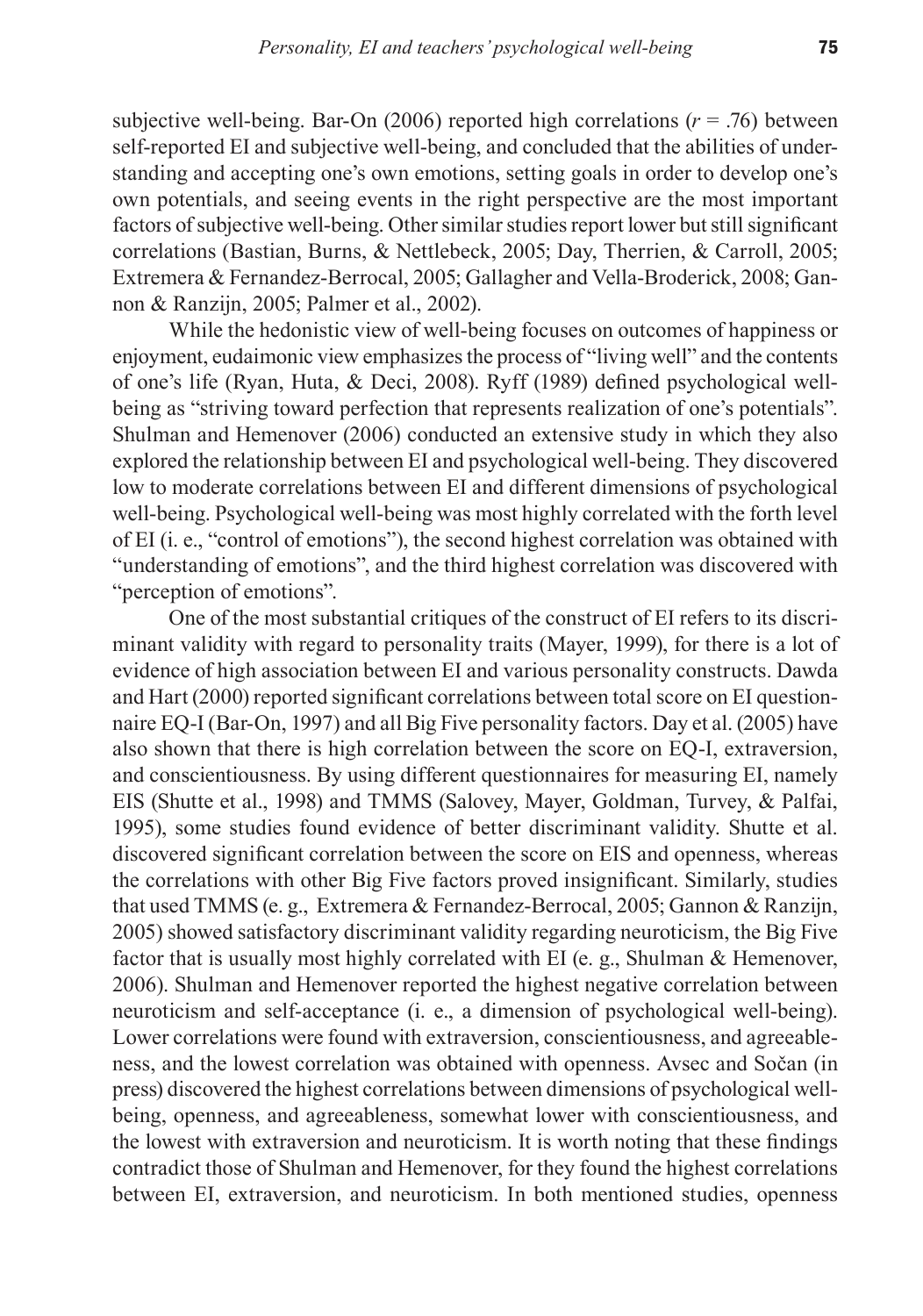subjective well-being. Bar-On  $(2006)$  reported high correlations  $(r = .76)$  between self-reported EI and subjective well-being, and concluded that the abilities of understanding and accepting one's own emotions, setting goals in order to develop one's own potentials, and seeing events in the right perspective are the most important factors of subjective well-being. Other similar studies report lower but still significant correlations (Bastian, Burns, & Nettlebeck, 2005; Day, Therrien, & Carroll, 2005; Extremera & Fernandez-Berrocal, 2005; Gallagher and Vella-Broderick, 2008; Gannon & Ranzijn, 2005; Palmer et al., 2002).

While the hedonistic view of well-being focuses on outcomes of happiness or enjoyment, eudaimonic view emphasizes the process of "living well" and the contents of one's life (Ryan, Huta, & Deci, 2008). Ryff (1989) defined psychological wellbeing as "striving toward perfection that represents realization of one's potentials". Shulman and Hemenover (2006) conducted an extensive study in which they also explored the relationship between EI and psychological well-being. They discovered low to moderate correlations between EI and different dimensions of psychological well-being. Psychological well-being was most highly correlated with the forth level of EI (i. e., "control of emotions"), the second highest correlation was obtained with "understanding of emotions", and the third highest correlation was discovered with "perception of emotions".

One of the most substantial critiques of the construct of EI refers to its discriminant validity with regard to personality traits (Mayer, 1999), for there is a lot of evidence of high association between EI and various personality constructs. Dawda and Hart (2000) reported significant correlations between total score on EI questionnaire EQ-I (Bar-On, 1997) and all Big Five personality factors. Day et al. (2005) have also shown that there is high correlation between the score on EQ-I, extraversion, and conscientiousness. By using different questionnaires for measuring EI, namely EIS (Shutte et al., 1998) and TMMS (Salovey, Mayer, Goldman, Turvey, & Palfai, 1995), some studies found evidence of better discriminant validity. Shutte et al. discovered significant correlation between the score on EIS and openness, whereas the correlations with other Big Five factors proved insignificant. Similarly, studies that used TMMS (e. g., Extremera & Fernandez-Berrocal, 2005; Gannon & Ranzijn, 2005) showed satisfactory discriminant validity regarding neuroticism, the Big Five factor that is usually most highly correlated with EI (e. g., Shulman & Hemenover, 2006). Shulman and Hemenover reported the highest negative correlation between neuroticism and self-acceptance (i. e., a dimension of psychological well-being). Lower correlations were found with extraversion, conscientiousness, and agreeableness, and the lowest correlation was obtained with openness. Avsec and Sočan (in press) discovered the highest correlations between dimensions of psychological wellbeing, openness, and agreeableness, somewhat lower with conscientiousness, and the lowest with extraversion and neuroticism. It is worth noting that these findings contradict those of Shulman and Hemenover, for they found the highest correlations between EI, extraversion, and neuroticism. In both mentioned studies, openness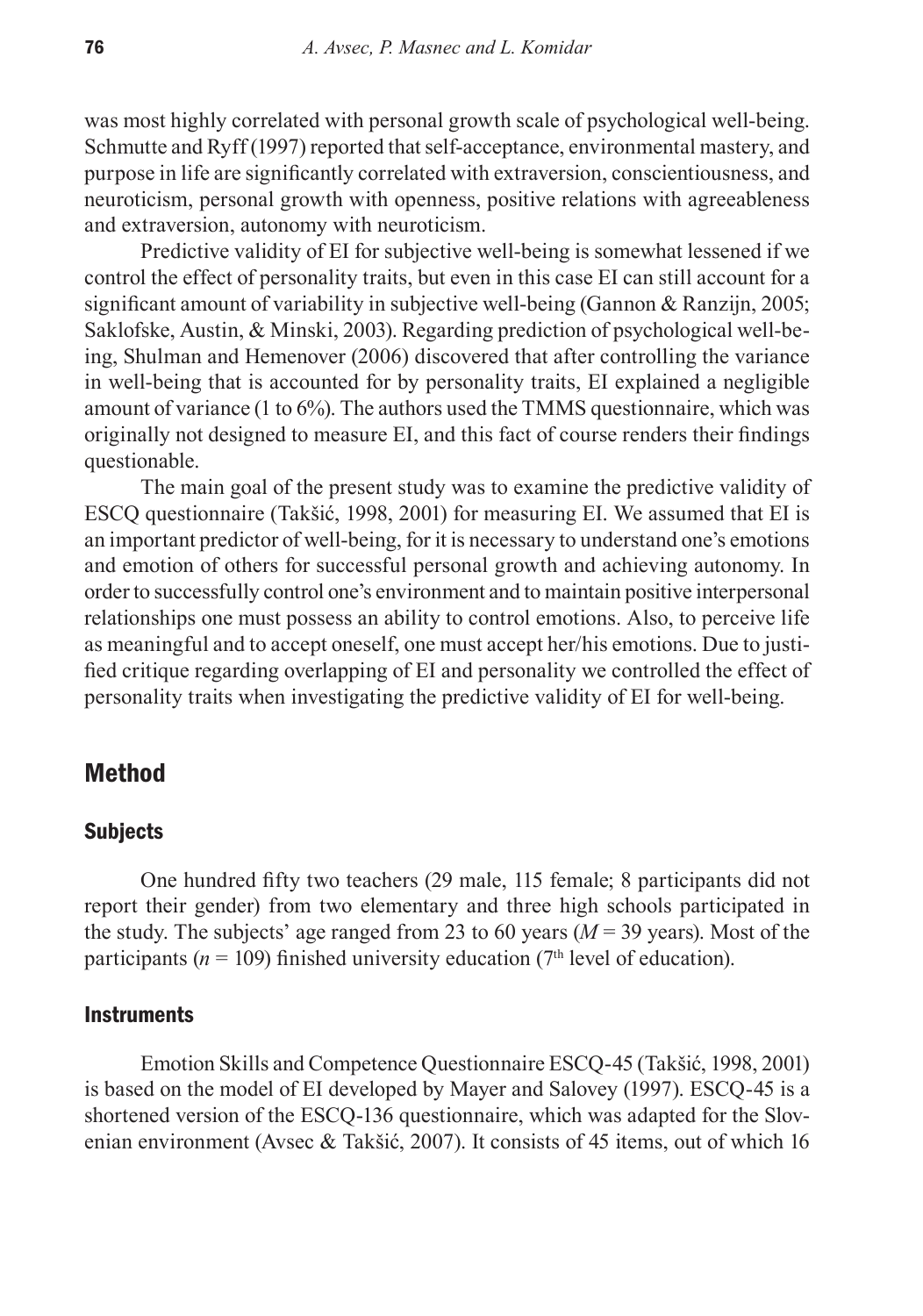was most highly correlated with personal growth scale of psychological well-being. Schmutte and Ryff (1997) reported that self-acceptance, environmental mastery, and purpose in life are significantly correlated with extraversion, conscientiousness, and neuroticism, personal growth with openness, positive relations with agreeableness and extraversion, autonomy with neuroticism.

Predictive validity of EI for subjective well-being is somewhat lessened if we control the effect of personality traits, but even in this case EI can still account for a significant amount of variability in subjective well-being (Gannon & Ranzijn, 2005; Saklofske, Austin, & Minski, 2003). Regarding prediction of psychological well-being, Shulman and Hemenover (2006) discovered that after controlling the variance in well-being that is accounted for by personality traits, EI explained a negligible amount of variance (1 to 6%). The authors used the TMMS questionnaire, which was originally not designed to measure EI, and this fact of course renders their findings questionable.

The main goal of the present study was to examine the predictive validity of ESCQ questionnaire (Takšić, 1998, 2001) for measuring EI. We assumed that EI is an important predictor of well-being, for it is necessary to understand one's emotions and emotion of others for successful personal growth and achieving autonomy. In order to successfully control one's environment and to maintain positive interpersonal relationships one must possess an ability to control emotions. Also, to perceive life as meaningful and to accept oneself, one must accept her/his emotions. Due to justified critique regarding overlapping of EI and personality we controlled the effect of personality traits when investigating the predictive validity of EI for well-being.

## Method

### **Subjects**

One hundred fifty two teachers (29 male, 115 female; 8 participants did not report their gender) from two elementary and three high schools participated in the study. The subjects' age ranged from 23 to 60 years  $(M = 39$  years). Most of the participants ( $n = 109$ ) finished university education ( $7<sup>th</sup>$  level of education).

#### **Instruments**

Emotion Skills and Competence Questionnaire ESCQ-45 (Takšić, 1998, 2001) is based on the model of EI developed by Mayer and Salovey (1997). ESCQ-45 is a shortened version of the ESCQ-136 questionnaire, which was adapted for the Slovenian environment (Avsec & Takšić, 2007). It consists of 45 items, out of which 16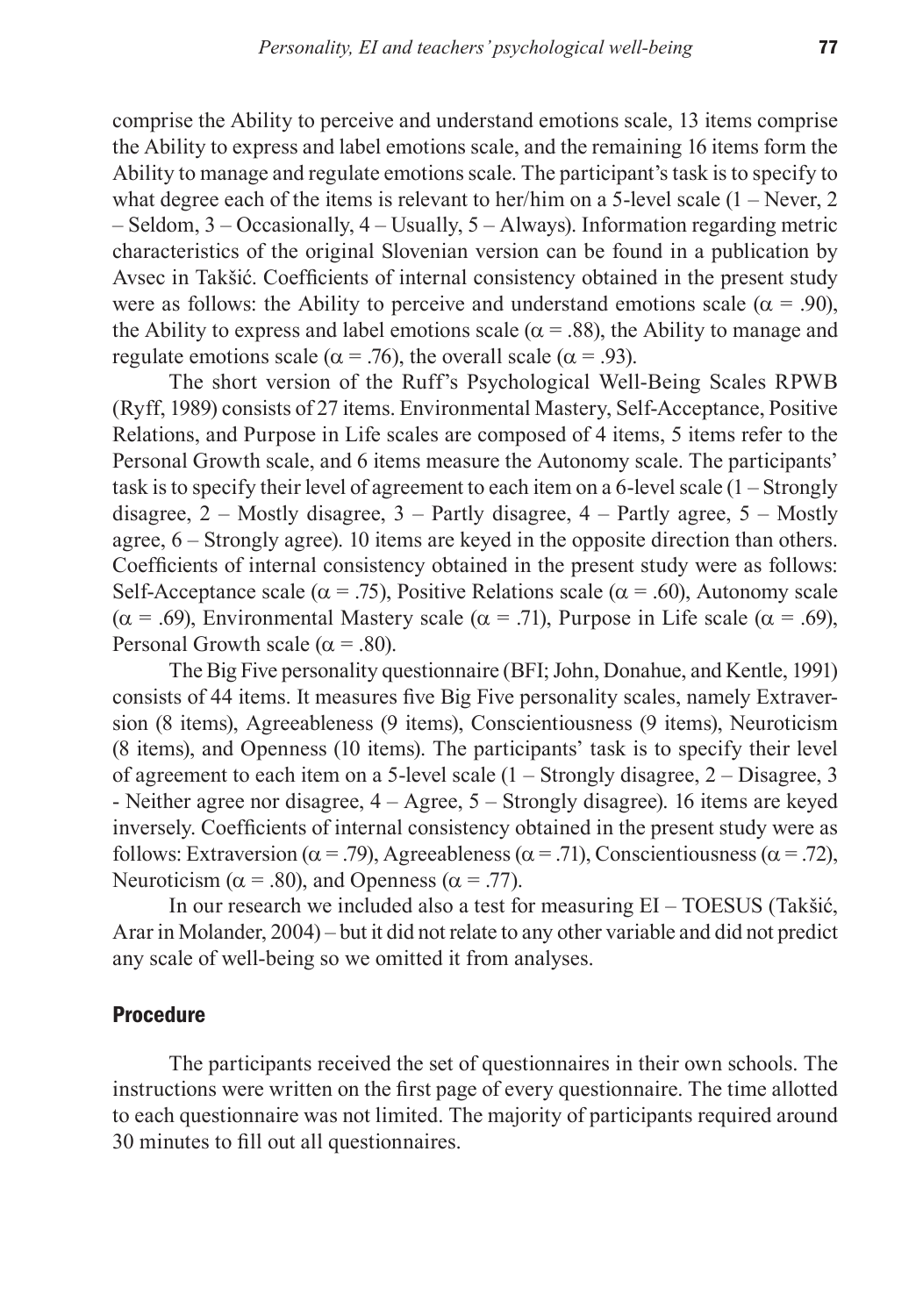comprise the Ability to perceive and understand emotions scale, 13 items comprise the Ability to express and label emotions scale, and the remaining 16 items form the Ability to manage and regulate emotions scale. The participant's task is to specify to what degree each of the items is relevant to her/him on a 5-level scale  $(1 -$ Never, 2 – Seldom, 3 – Occasionally, 4 – Usually, 5 – Always). Information regarding metric characteristics of the original Slovenian version can be found in a publication by Avsec in Takšić. Coefficients of internal consistency obtained in the present study were as follows: the Ability to perceive and understand emotions scale ( $\alpha = .90$ ), the Ability to express and label emotions scale ( $\alpha$  = .88), the Ability to manage and regulate emotions scale ( $\alpha$  = .76), the overall scale ( $\alpha$  = .93).

The short version of the Ruff's Psychological Well-Being Scales RPWB (Ryff, 1989) consists of 27 items. Environmental Mastery, Self-Acceptance, Positive Relations, and Purpose in Life scales are composed of 4 items, 5 items refer to the Personal Growth scale, and 6 items measure the Autonomy scale. The participants' task is to specify their level of agreement to each item on a 6-level scale (1 – Strongly disagree,  $2$  – Mostly disagree,  $3$  – Partly disagree,  $4$  – Partly agree,  $5$  – Mostly agree, 6 – Strongly agree). 10 items are keyed in the opposite direction than others. Coefficients of internal consistency obtained in the present study were as follows: Self-Acceptance scale ( $\alpha$  = .75), Positive Relations scale ( $\alpha$  = .60), Autonomy scale ( $\alpha$  = .69), Environmental Mastery scale ( $\alpha$  = .71), Purpose in Life scale ( $\alpha$  = .69), Personal Growth scale ( $\alpha$  = .80).

The Big Five personality questionnaire (BFI; John, Donahue, and Kentle, 1991) consists of 44 items. It measures five Big Five personality scales, namely Extraversion (8 items), Agreeableness (9 items), Conscientiousness (9 items), Neuroticism (8 items), and Openness (10 items). The participants' task is to specify their level of agreement to each item on a 5-level scale (1 – Strongly disagree, 2 – Disagree, 3 - Neither agree nor disagree, 4 – Agree, 5 – Strongly disagree). 16 items are keyed inversely. Coefficients of internal consistency obtained in the present study were as follows: Extraversion ( $\alpha$  = .79), Agreeableness ( $\alpha$  = .71), Conscientiousness ( $\alpha$  = .72), Neuroticism ( $\alpha$  = .80), and Openness ( $\alpha$  = .77).

In our research we included also a test for measuring EI – TOESUS (Takšić, Arar in Molander, 2004) – but it did not relate to any other variable and did not predict any scale of well-being so we omitted it from analyses.

### Procedure

The participants received the set of questionnaires in their own schools. The instructions were written on the first page of every questionnaire. The time allotted to each questionnaire was not limited. The majority of participants required around 30 minutes to fill out all questionnaires.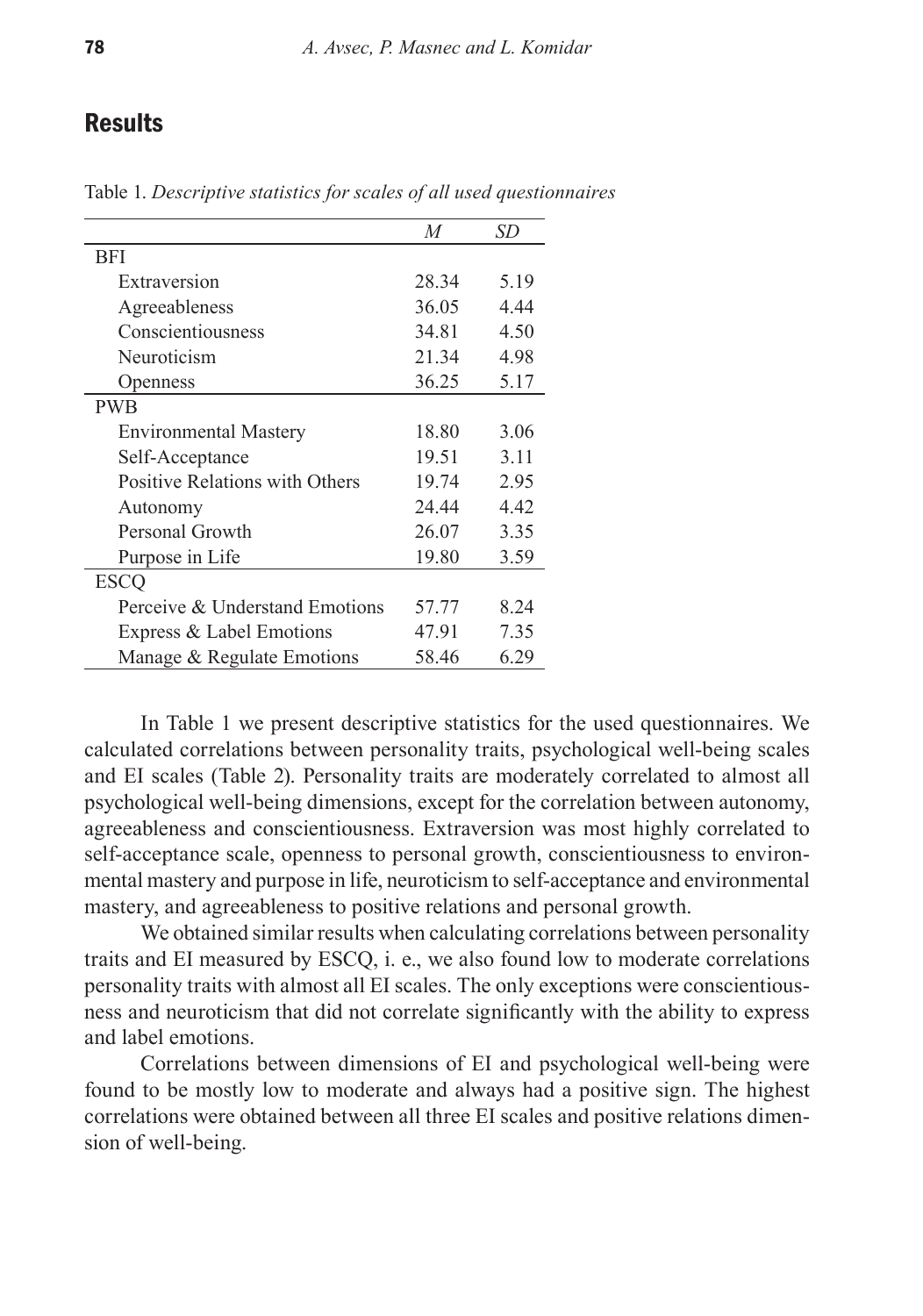## **Results**

|                                | M     | SD   |
|--------------------------------|-------|------|
| <b>BFI</b>                     |       |      |
| Extraversion                   | 28.34 | 5.19 |
| Agreeableness                  | 36.05 | 4.44 |
| Conscientiousness              | 34.81 | 4.50 |
| Neuroticism                    | 21.34 | 4.98 |
| <b>Openness</b>                | 36.25 | 5.17 |
| <b>PWB</b>                     |       |      |
| <b>Environmental Mastery</b>   | 18.80 | 3.06 |
| Self-Acceptance                | 19.51 | 3.11 |
| Positive Relations with Others | 19.74 | 2.95 |
| Autonomy                       | 24.44 | 4.42 |
| Personal Growth                | 26.07 | 3.35 |
| Purpose in Life                | 19.80 | 3.59 |
| <b>ESCQ</b>                    |       |      |
| Perceive & Understand Emotions | 57.77 | 8.24 |
| Express & Label Emotions       | 47.91 | 7.35 |
| Manage & Regulate Emotions     | 58.46 | 6.29 |

Table 1. *Descriptive statistics for scales of all used questionnaires*

In Table 1 we present descriptive statistics for the used questionnaires. We calculated correlations between personality traits, psychological well-being scales and EI scales (Table 2). Personality traits are moderately correlated to almost all psychological well-being dimensions, except for the correlation between autonomy, agreeableness and conscientiousness. Extraversion was most highly correlated to self-acceptance scale, openness to personal growth, conscientiousness to environmental mastery and purpose in life, neuroticism to self-acceptance and environmental mastery, and agreeableness to positive relations and personal growth.

We obtained similar results when calculating correlations between personality traits and EI measured by ESCQ, i. e., we also found low to moderate correlations personality traits with almost all EI scales. The only exceptions were conscientiousness and neuroticism that did not correlate significantly with the ability to express and label emotions.

Correlations between dimensions of EI and psychological well-being were found to be mostly low to moderate and always had a positive sign. The highest correlations were obtained between all three EI scales and positive relations dimension of well-being.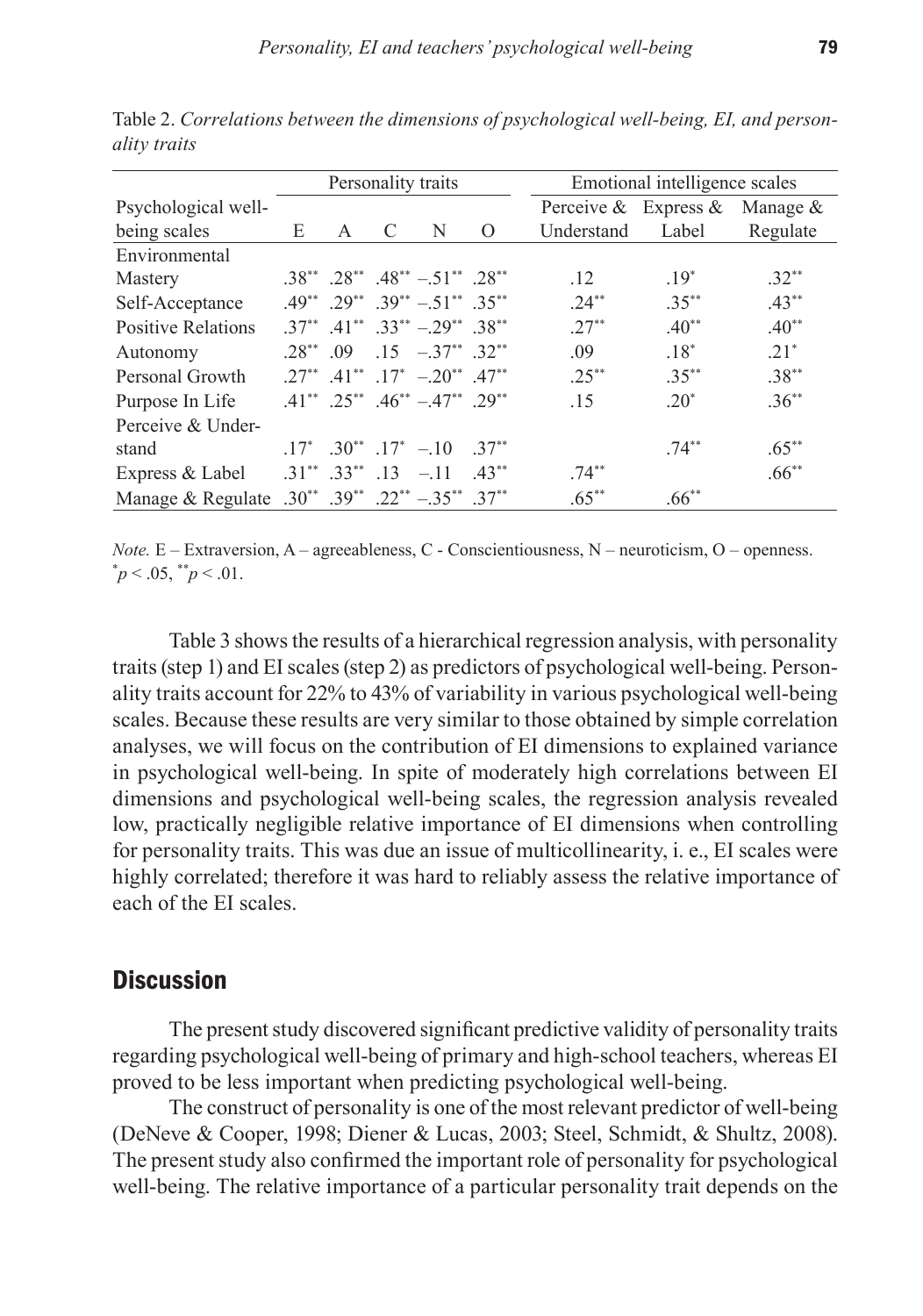|                                                  | Personality traits |              |   |                                                         |         | Emotional intelligence scales    |           |          |  |
|--------------------------------------------------|--------------------|--------------|---|---------------------------------------------------------|---------|----------------------------------|-----------|----------|--|
| Psychological well-                              |                    |              |   |                                                         |         | Perceive & Express & Manage $\&$ |           |          |  |
| being scales                                     | E                  | $\mathsf{A}$ | C | N                                                       | $\circ$ | Understand                       | Label     | Regulate |  |
| Environmental                                    |                    |              |   |                                                         |         |                                  |           |          |  |
| Mastery                                          |                    |              |   | $.38^{**}$ $.28^{**}$ $.48^{**}$ $-.51^{**}$ $.28^{**}$ |         | .12                              | $19^*$    | $.32**$  |  |
| Self-Acceptance                                  |                    |              |   | $.49^{**}$ $.29^{**}$ $.39^{**}$ $-.51^{**}$ $.35^{**}$ |         | $24^{**}$                        | $.35***$  | $.43***$ |  |
| <b>Positive Relations</b>                        |                    |              |   | $.37^{**}$ $.41^{**}$ $.33^{**}$ $-.29^{**}$ $.38^{**}$ |         | $.27***$                         | $.40**$   | $.40**$  |  |
| Autonomy                                         |                    |              |   | $.28^{**}$ 09 15 $-.37^{**}$ 32 <sup>**</sup>           |         | .09                              | $.18*$    | $.21*$   |  |
| Personal Growth                                  |                    |              |   | $.27^{**}$ $.41^{**}$ $.17^{*}$ $-.20^{**}$ $.47^{**}$  |         | $.25***$                         | $.35***$  | $.38***$ |  |
| Purpose In Life                                  |                    |              |   | $.41^{**}$ $.25^{**}$ $.46^{**}$ $-.47^{**}$ $.29^{**}$ |         | .15                              | $20^*$    | $.36***$ |  |
| Perceive & Under-                                |                    |              |   |                                                         |         |                                  |           |          |  |
| stand                                            |                    |              |   | $.17^*$ $.30^{**}$ $.17^*$ $-.10$ $.37^{**}$            |         |                                  | $74^{**}$ | $.65***$ |  |
| Express & Label                                  |                    |              |   | $.31^{**}$ $.33^{**}$ $.13$ $-.11$ $.43^{**}$           |         | $.74***$                         |           | $.66***$ |  |
| Manage & Regulate .30** .39** .22** -.35** .37** |                    |              |   |                                                         |         | $.65***$                         | $.66***$  |          |  |

Table 2. *Correlations between the dimensions of psychological well-being, EI, and personality traits*

*Note.* E – Extraversion, A – agreeableness, C - Conscientiousness, N – neuroticism, O – openness.  $p^*$   $p < .05$ ,  $p^*$   $p < .01$ .

Table 3 shows the results of a hierarchical regression analysis, with personality traits (step 1) and EI scales (step 2) as predictors of psychological well-being. Personality traits account for 22% to 43% of variability in various psychological well-being scales. Because these results are very similar to those obtained by simple correlation analyses, we will focus on the contribution of EI dimensions to explained variance in psychological well-being. In spite of moderately high correlations between EI dimensions and psychological well-being scales, the regression analysis revealed low, practically negligible relative importance of EI dimensions when controlling for personality traits. This was due an issue of multicollinearity, i. e., EI scales were highly correlated; therefore it was hard to reliably assess the relative importance of each of the EI scales.

## **Discussion**

The present study discovered significant predictive validity of personality traits regarding psychological well-being of primary and high-school teachers, whereas EI proved to be less important when predicting psychological well-being.

The construct of personality is one of the most relevant predictor of well-being (DeNeve & Cooper, 1998; Diener & Lucas, 2003; Steel, Schmidt, & Shultz, 2008). The present study also confirmed the important role of personality for psychological well-being. The relative importance of a particular personality trait depends on the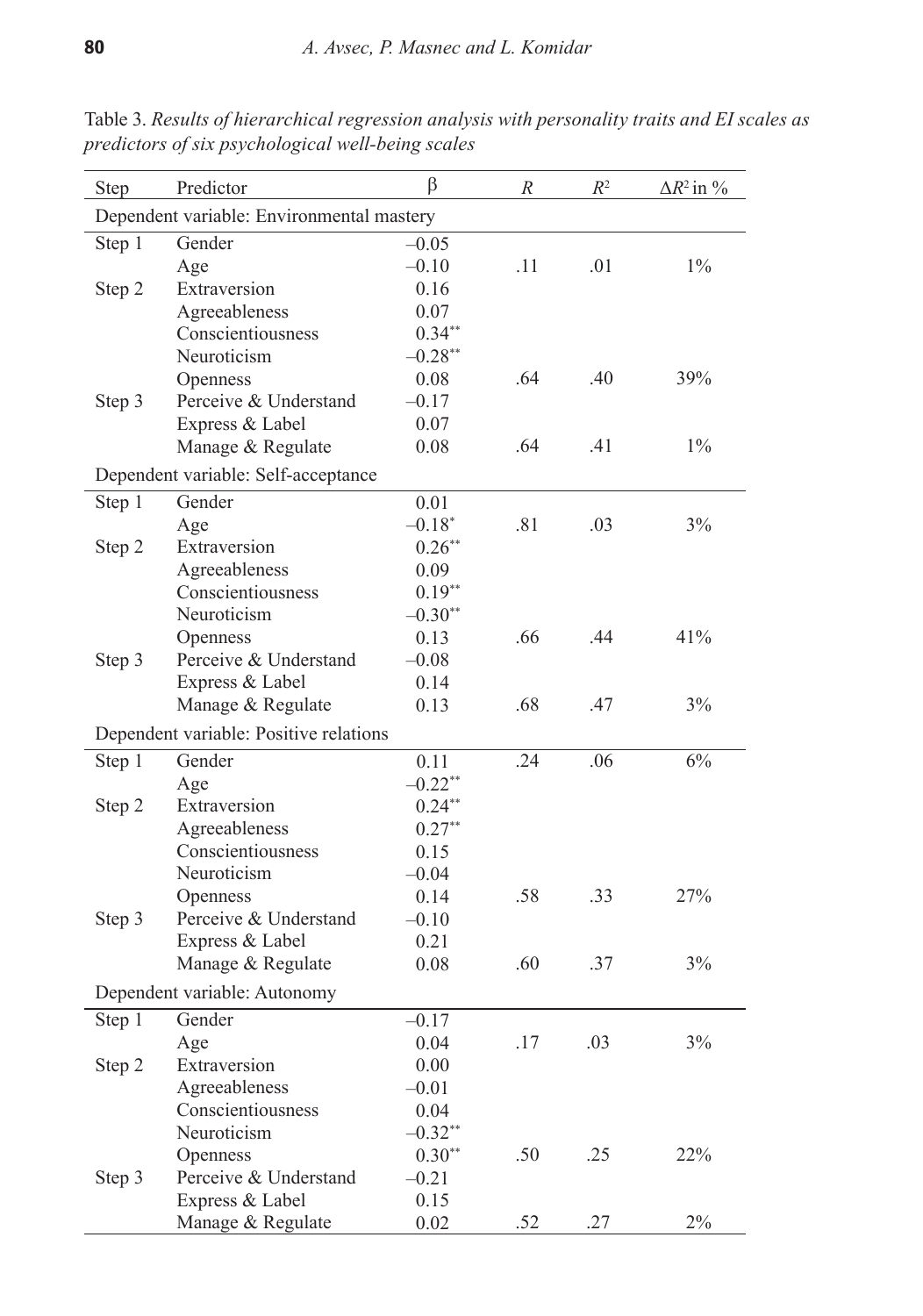| <b>Step</b>                               | Predictor                              | β          | R   | $R^2$ | $\Delta R^2$ in $\%$ |  |
|-------------------------------------------|----------------------------------------|------------|-----|-------|----------------------|--|
| Dependent variable: Environmental mastery |                                        |            |     |       |                      |  |
| Step 1                                    | Gender                                 | $-0.05$    |     |       |                      |  |
|                                           | Age                                    | $-0.10$    | .11 | .01   | $1\%$                |  |
| Step 2                                    | Extraversion                           | 0.16       |     |       |                      |  |
|                                           | Agreeableness                          | 0.07       |     |       |                      |  |
|                                           | Conscientiousness                      | $0.34**$   |     |       |                      |  |
|                                           | Neuroticism                            | $-0.28**$  |     |       |                      |  |
|                                           | Openness                               | 0.08       | .64 | .40   | 39%                  |  |
| Step 3                                    | Perceive & Understand                  | $-0.17$    |     |       |                      |  |
|                                           | Express & Label                        | 0.07       |     |       |                      |  |
|                                           | Manage & Regulate                      | 0.08       | .64 | .41   | $1\%$                |  |
| Dependent variable: Self-acceptance       |                                        |            |     |       |                      |  |
| Step 1                                    | Gender                                 | 0.01       |     |       |                      |  |
|                                           | Age                                    | $-0.18*$   | .81 | .03   | 3%                   |  |
| Step 2                                    | Extraversion                           | $0.26**$   |     |       |                      |  |
|                                           | Agreeableness                          | 0.09       |     |       |                      |  |
|                                           | Conscientiousness                      | $0.19**$   |     |       |                      |  |
|                                           | Neuroticism                            | $-0.30**$  |     |       |                      |  |
|                                           | Openness                               | 0.13       | .66 | .44   | 41%                  |  |
| Step 3                                    | Perceive & Understand                  | $-0.08$    |     |       |                      |  |
|                                           | Express & Label                        | 0.14       |     |       |                      |  |
|                                           | Manage & Regulate                      | 0.13       | .68 | .47   | 3%                   |  |
|                                           | Dependent variable: Positive relations |            |     |       |                      |  |
| Step 1                                    | Gender                                 | 0.11       | .24 | .06   | 6%                   |  |
|                                           | Age                                    | $-0.22$ ** |     |       |                      |  |
| Step 2                                    | Extraversion                           | $0.24**$   |     |       |                      |  |
|                                           | Agreeableness                          | $0.27**$   |     |       |                      |  |
|                                           | Conscientiousness                      | 0.15       |     |       |                      |  |
|                                           | Neuroticism                            | $-0.04$    |     |       |                      |  |
|                                           | Openness                               | 0.14       | .58 | .33   | 27%                  |  |
| Step 3                                    | Perceive & Understand                  | $-0.10$    |     |       |                      |  |
|                                           | Express & Label                        | 0.21       |     |       |                      |  |
|                                           | Manage & Regulate                      | 0.08       | .60 | .37   | 3%                   |  |
|                                           | Dependent variable: Autonomy           |            |     |       |                      |  |
| Step 1                                    | Gender                                 | $-0.17$    |     |       |                      |  |
|                                           | Age                                    | 0.04       | .17 | .03   | 3%                   |  |
| Step 2                                    | Extraversion                           | 0.00       |     |       |                      |  |
|                                           | Agreeableness                          | $-0.01$    |     |       |                      |  |
|                                           | Conscientiousness                      | 0.04       |     |       |                      |  |
|                                           | Neuroticism                            | $-0.32**$  |     |       |                      |  |
|                                           | Openness                               | $0.30**$   | .50 | .25   | 22%                  |  |
| Step 3                                    | Perceive & Understand                  | $-0.21$    |     |       |                      |  |
|                                           | Express & Label                        | 0.15       |     |       |                      |  |
|                                           | Manage & Regulate                      | 0.02       | .52 | .27   | 2%                   |  |

Table 3. *Results of hierarchical regression analysis with personality traits and EI scales as predictors of six psychological well-being scales*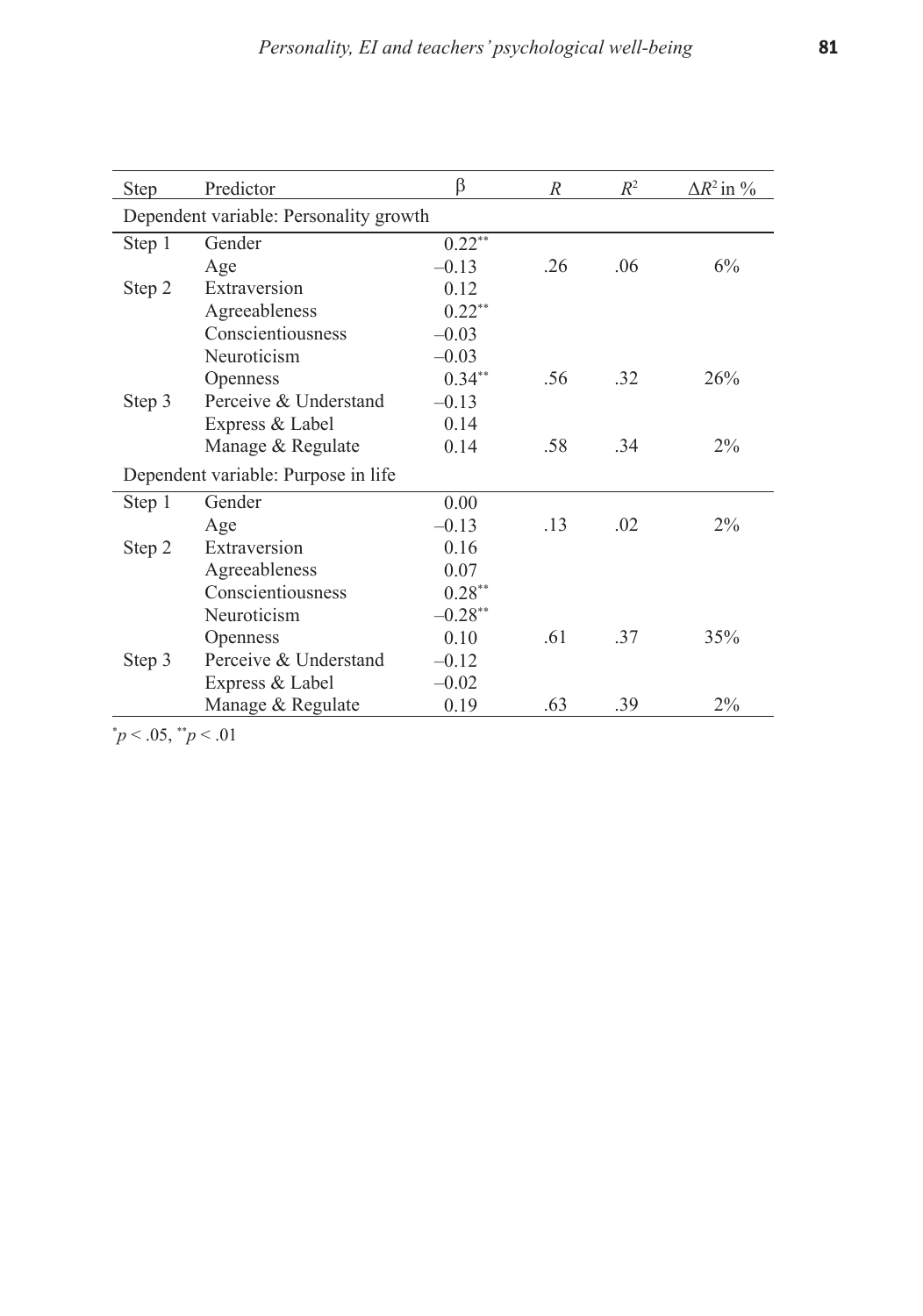| <b>Step</b>                            | Predictor                           | β         | $\boldsymbol{R}$ | $R^2$ | $\Delta R^2$ in % |  |
|----------------------------------------|-------------------------------------|-----------|------------------|-------|-------------------|--|
| Dependent variable: Personality growth |                                     |           |                  |       |                   |  |
| Step 1                                 | Gender                              | $0.22**$  |                  |       |                   |  |
|                                        | Age                                 | $-0.13$   | .26              | .06   | 6%                |  |
| Step 2                                 | Extraversion                        | 0.12      |                  |       |                   |  |
|                                        | Agreeableness                       | $0.22**$  |                  |       |                   |  |
|                                        | Conscientiousness                   | $-0.03$   |                  |       |                   |  |
|                                        | Neuroticism                         | $-0.03$   |                  |       |                   |  |
|                                        | Openness                            | $0.34**$  | .56              | .32   | 26%               |  |
| Step 3                                 | Perceive & Understand               | $-0.13$   |                  |       |                   |  |
|                                        | Express & Label                     | 0.14      |                  |       |                   |  |
|                                        | Manage & Regulate                   | 0.14      | .58              | .34   | $2\%$             |  |
|                                        | Dependent variable: Purpose in life |           |                  |       |                   |  |
| Step 1                                 | Gender                              | 0.00      |                  |       |                   |  |
|                                        | Age                                 | $-0.13$   | .13              | .02   | $2\%$             |  |
| Step 2                                 | Extraversion                        | 0.16      |                  |       |                   |  |
|                                        | Agreeableness                       | 0.07      |                  |       |                   |  |
|                                        | Conscientiousness                   | $0.28**$  |                  |       |                   |  |
|                                        | Neuroticism                         | $-0.28**$ |                  |       |                   |  |
|                                        | <b>Openness</b>                     | 0.10      | .61              | 37    | 35%               |  |
| Step 3                                 | Perceive & Understand               | $-0.12$   |                  |       |                   |  |
|                                        | Express & Label                     | $-0.02$   |                  |       |                   |  |
|                                        | Manage & Regulate                   | 0.19      | .63              | .39   | $2\%$             |  |

 $\mu$  < .05,  $\mu$  < .01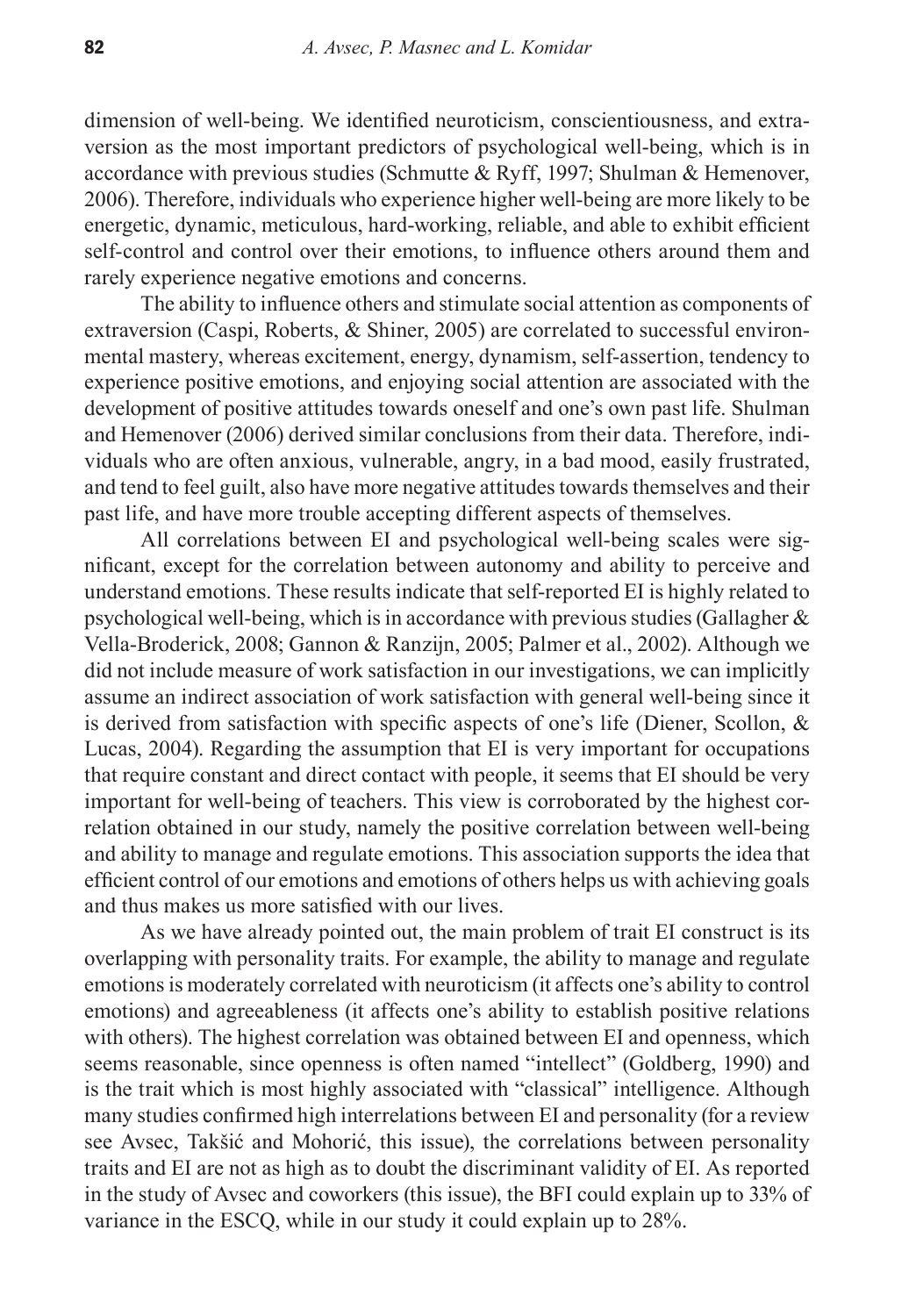dimension of well-being. We identified neuroticism, conscientiousness, and extraversion as the most important predictors of psychological well-being, which is in accordance with previous studies (Schmutte & Ryff, 1997; Shulman & Hemenover, 2006). Therefore, individuals who experience higher well-being are more likely to be energetic, dynamic, meticulous, hard-working, reliable, and able to exhibit efficient self-control and control over their emotions, to influence others around them and rarely experience negative emotions and concerns.

The ability to influence others and stimulate social attention as components of extraversion (Caspi, Roberts, & Shiner, 2005) are correlated to successful environmental mastery, whereas excitement, energy, dynamism, self-assertion, tendency to experience positive emotions, and enjoying social attention are associated with the development of positive attitudes towards oneself and one's own past life. Shulman and Hemenover (2006) derived similar conclusions from their data. Therefore, individuals who are often anxious, vulnerable, angry, in a bad mood, easily frustrated, and tend to feel guilt, also have more negative attitudes towards themselves and their past life, and have more trouble accepting different aspects of themselves.

All correlations between EI and psychological well-being scales were significant, except for the correlation between autonomy and ability to perceive and understand emotions. These results indicate that self-reported EI is highly related to psychological well-being, which is in accordance with previous studies (Gallagher & Vella-Broderick, 2008; Gannon & Ranzijn, 2005; Palmer et al., 2002). Although we did not include measure of work satisfaction in our investigations, we can implicitly assume an indirect association of work satisfaction with general well-being since it is derived from satisfaction with specific aspects of one's life (Diener, Scollon, & Lucas, 2004). Regarding the assumption that EI is very important for occupations that require constant and direct contact with people, it seems that EI should be very important for well-being of teachers. This view is corroborated by the highest correlation obtained in our study, namely the positive correlation between well-being and ability to manage and regulate emotions. This association supports the idea that efficient control of our emotions and emotions of others helps us with achieving goals and thus makes us more satisfied with our lives.

As we have already pointed out, the main problem of trait EI construct is its overlapping with personality traits. For example, the ability to manage and regulate emotions is moderately correlated with neuroticism (it affects one's ability to control emotions) and agreeableness (it affects one's ability to establish positive relations with others). The highest correlation was obtained between EI and openness, which seems reasonable, since openness is often named "intellect" (Goldberg, 1990) and is the trait which is most highly associated with "classical" intelligence. Although many studies confirmed high interrelations between EI and personality (for a review see Avsec, Takšić and Mohorić, this issue), the correlations between personality traits and EI are not as high as to doubt the discriminant validity of EI. As reported in the study of Avsec and coworkers (this issue), the BFI could explain up to 33% of variance in the ESCQ, while in our study it could explain up to 28%.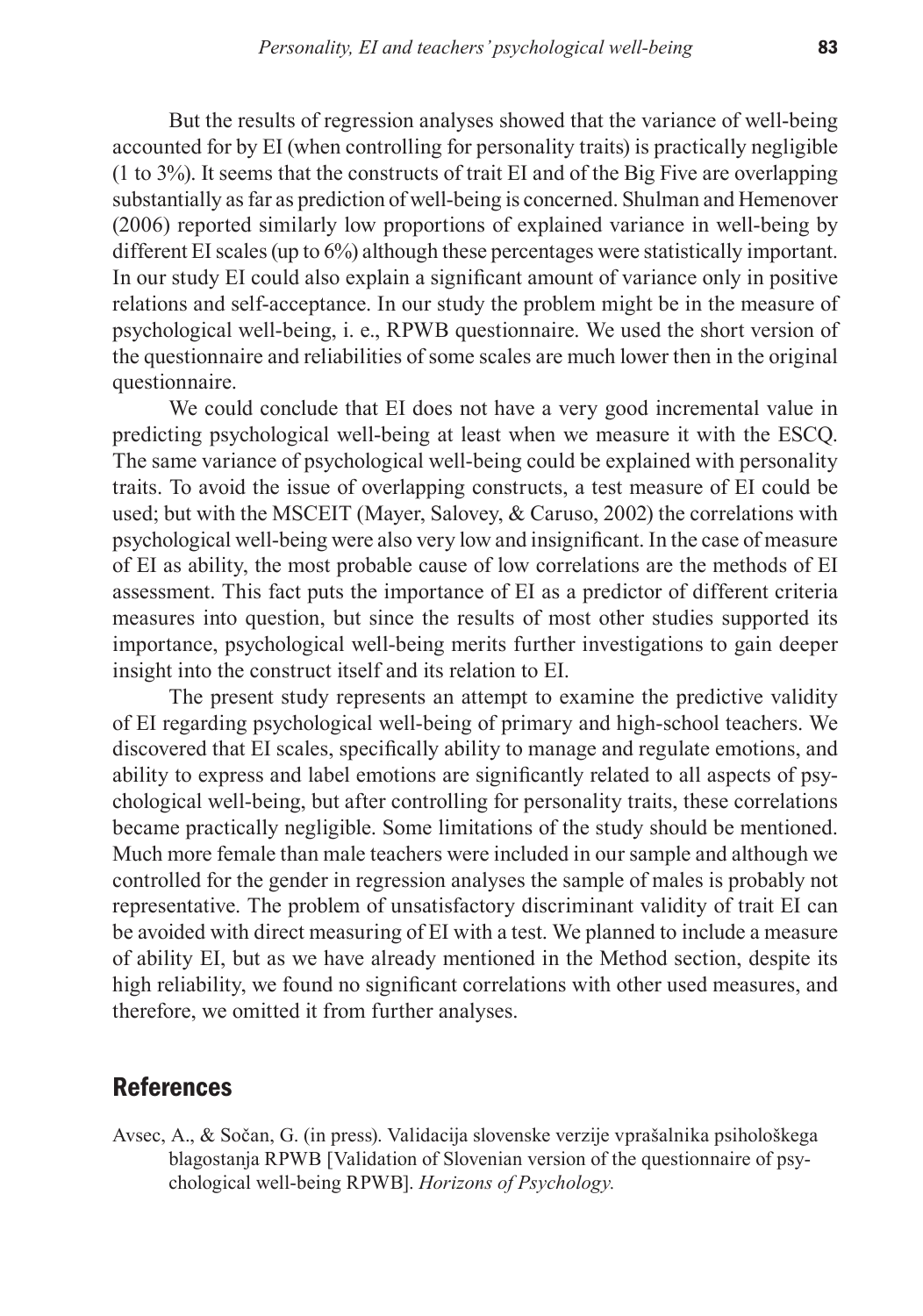But the results of regression analyses showed that the variance of well-being accounted for by EI (when controlling for personality traits) is practically negligible (1 to 3%). It seems that the constructs of trait EI and of the Big Five are overlapping substantially as far as prediction of well-being is concerned. Shulman and Hemenover (2006) reported similarly low proportions of explained variance in well-being by different EI scales (up to 6%) although these percentages were statistically important. In our study EI could also explain a significant amount of variance only in positive relations and self-acceptance. In our study the problem might be in the measure of psychological well-being, i. e., RPWB questionnaire. We used the short version of the questionnaire and reliabilities of some scales are much lower then in the original questionnaire.

We could conclude that EI does not have a very good incremental value in predicting psychological well-being at least when we measure it with the ESCQ. The same variance of psychological well-being could be explained with personality traits. To avoid the issue of overlapping constructs, a test measure of EI could be used; but with the MSCEIT (Mayer, Salovey, & Caruso, 2002) the correlations with psychological well-being were also very low and insignificant. In the case of measure of EI as ability, the most probable cause of low correlations are the methods of EI assessment. This fact puts the importance of EI as a predictor of different criteria measures into question, but since the results of most other studies supported its importance, psychological well-being merits further investigations to gain deeper insight into the construct itself and its relation to EI.

The present study represents an attempt to examine the predictive validity of EI regarding psychological well-being of primary and high-school teachers. We discovered that EI scales, specifically ability to manage and regulate emotions, and ability to express and label emotions are significantly related to all aspects of psychological well-being, but after controlling for personality traits, these correlations became practically negligible. Some limitations of the study should be mentioned. Much more female than male teachers were included in our sample and although we controlled for the gender in regression analyses the sample of males is probably not representative. The problem of unsatisfactory discriminant validity of trait EI can be avoided with direct measuring of EI with a test. We planned to include a measure of ability EI, but as we have already mentioned in the Method section, despite its high reliability, we found no significant correlations with other used measures, and therefore, we omitted it from further analyses.

## References

Avsec, A., & Sočan, G. (in press). Validacija slovenske verzije vprašalnika psihološkega blagostanja RPWB [Validation of Slovenian version of the questionnaire of psychological well-being RPWB]. *Horizons of Psychology.*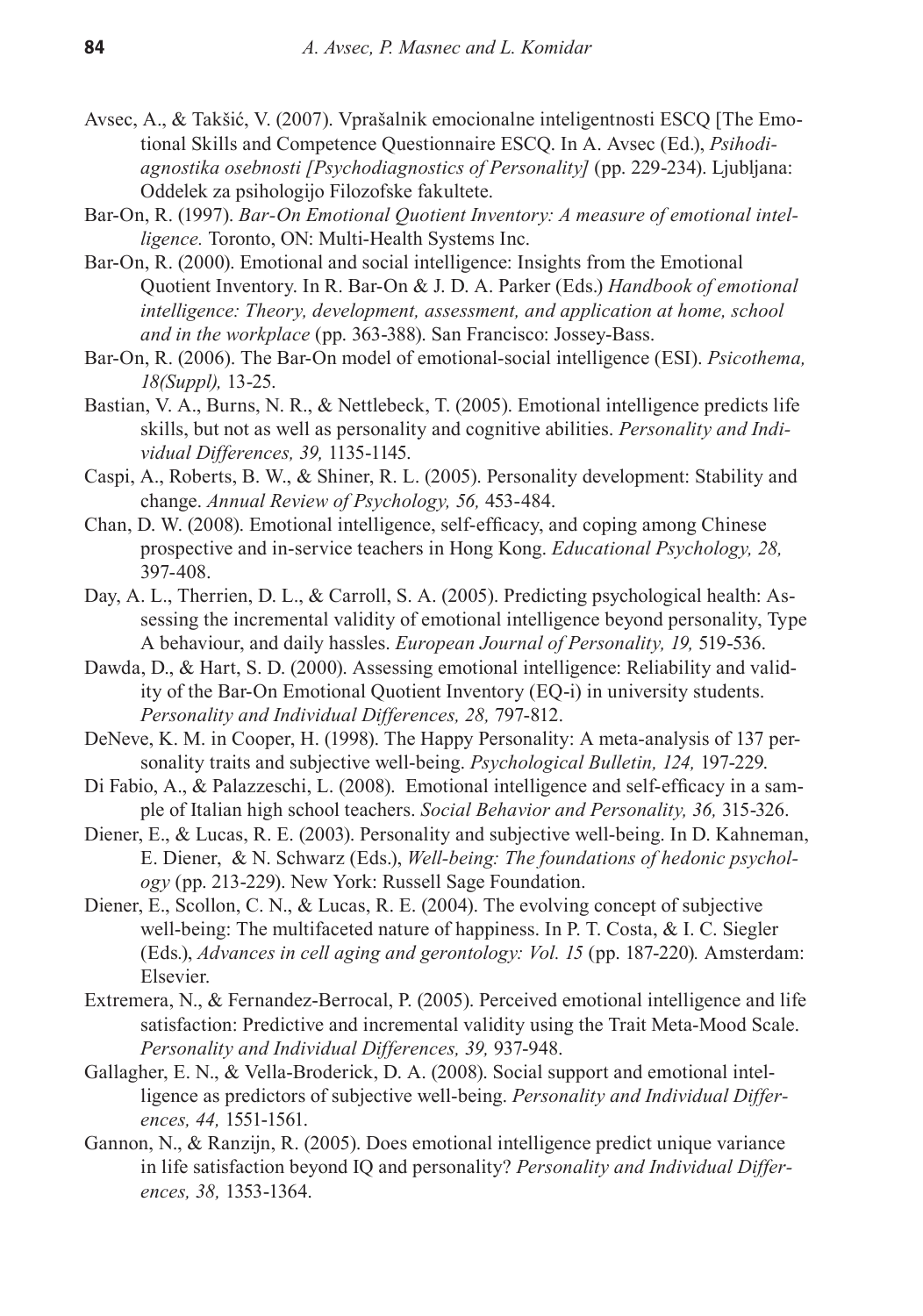- Avsec, A., & Takšić, V. (2007). Vprašalnik emocionalne inteligentnosti ESCQ [The Emotional Skills and Competence Questionnaire ESCQ. In A. Avsec (Ed.), *Psihodiagnostika osebnosti [Psychodiagnostics of Personality]* (pp. 229-234). Ljubljana: Oddelek za psihologijo Filozofske fakultete.
- Bar-On, R. (1997). *Bar-On Emotional Quotient Inventory: A measure of emotional intelligence.* Toronto, ON: Multi-Health Systems Inc.
- Bar-On, R. (2000). Emotional and social intelligence: Insights from the Emotional Quotient Inventory. In R. Bar-On & J. D. A. Parker (Eds.) *Handbook of emotional intelligence: Theory, development, assessment, and application at home, school and in the workplace* (pp. 363-388). San Francisco: Jossey-Bass.
- Bar-On, R. (2006). The Bar-On model of emotional-social intelligence (ESI). *Psicothema, 18(Suppl),* 13-25.
- Bastian, V. A., Burns, N. R., & Nettlebeck, T. (2005). Emotional intelligence predicts life skills, but not as well as personality and cognitive abilities. *Personality and Individual Differences, 39,* 1135-1145.
- Caspi, A., Roberts, B. W., & Shiner, R. L. (2005). Personality development: Stability and change. *Annual Review of Psychology, 56,* 453-484.
- Chan, D. W. (2008). Emotional intelligence, self-efficacy, and coping among Chinese prospective and in-service teachers in Hong Kong. *Educational Psychology, 28,* 397-408.
- Day, A. L., Therrien, D. L., & Carroll, S. A. (2005). Predicting psychological health: Assessing the incremental validity of emotional intelligence beyond personality, Type A behaviour, and daily hassles. *European Journal of Personality, 19,* 519-536.
- Dawda, D., & Hart, S. D. (2000). Assessing emotional intelligence: Reliability and validity of the Bar-On Emotional Quotient Inventory (EQ-i) in university students. *Personality and Individual Differences, 28,* 797-812.
- DeNeve, K. M. in Cooper, H. (1998). The Happy Personality: A meta-analysis of 137 personality traits and subjective well-being. *Psychological Bulletin, 124,* 197-229.
- Di Fabio, A., & Palazzeschi, L. (2008). Emotional intelligence and self-efficacy in a sample of Italian high school teachers. *Social Behavior and Personality, 36,* 315-326.
- Diener, E., & Lucas, R. E. (2003). Personality and subjective well-being. In D. Kahneman, E. Diener, & N. Schwarz (Eds.), *Well-being: The foundations of hedonic psychology* (pp. 213-229). New York: Russell Sage Foundation.
- Diener, E., Scollon, C. N., & Lucas, R. E. (2004). The evolving concept of subjective well-being: The multifaceted nature of happiness. In P. T. Costa, & I. C. Siegler (Eds*.*), *Advances in cell aging and gerontology: Vol. 15* (pp. 187-220)*.* Amsterdam: Elsevier.
- Extremera, N., & Fernandez-Berrocal, P. (2005). Perceived emotional intelligence and life satisfaction: Predictive and incremental validity using the Trait Meta-Mood Scale. *Personality and Individual Differences, 39,* 937-948.
- Gallagher, E. N., & Vella-Broderick, D. A. (2008). Social support and emotional intelligence as predictors of subjective well-being. *Personality and Individual Differences, 44,* 1551-1561.
- Gannon, N., & Ranzijn, R. (2005). Does emotional intelligence predict unique variance in life satisfaction beyond IQ and personality? *Personality and Individual Differences, 38,* 1353-1364.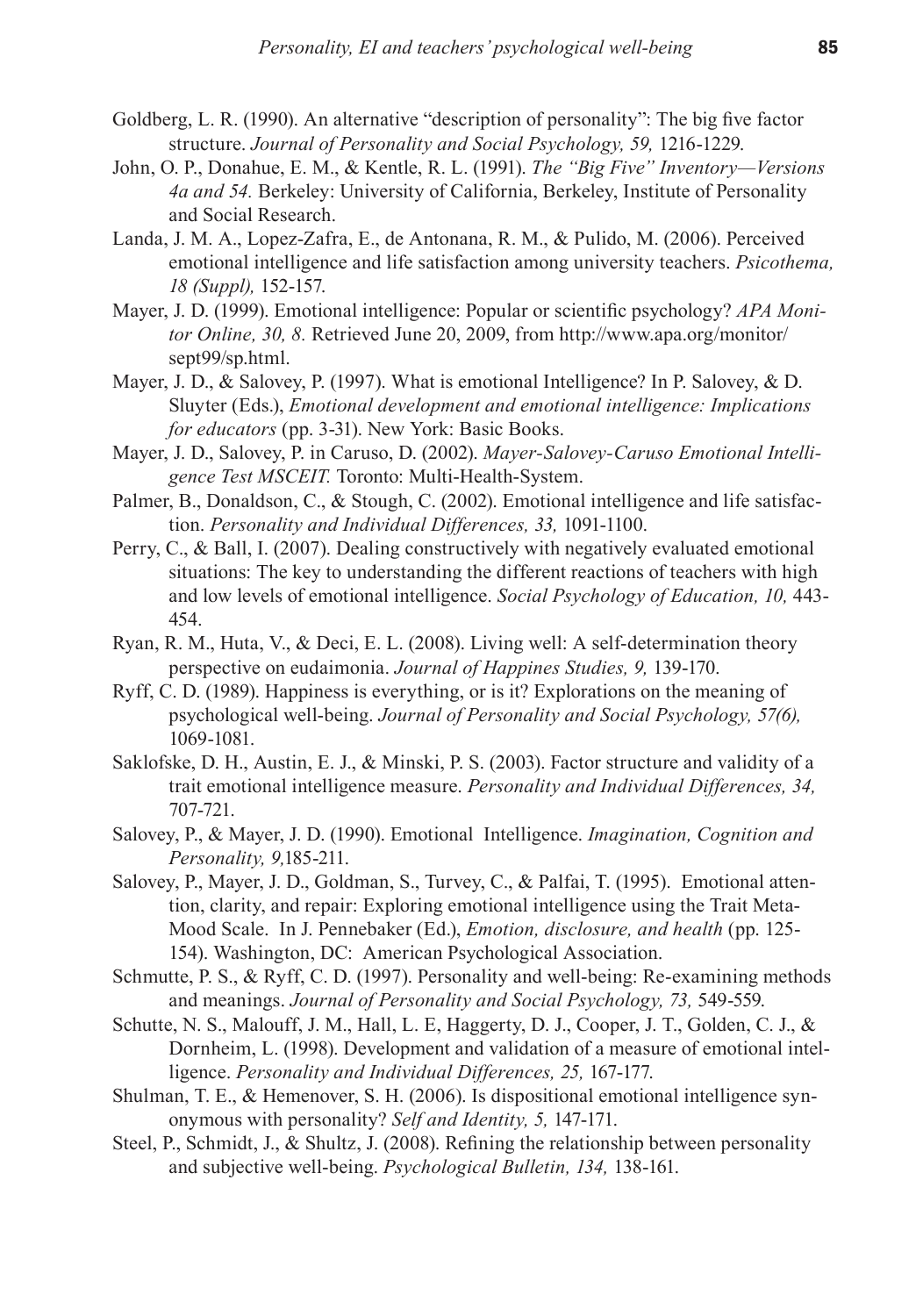- Goldberg, L. R. (1990). An alternative "description of personality": The big five factor structure. *Journal of Personality and Social Psychology, 59,* 1216-1229.
- John, O. P., Donahue, E. M., & Kentle, R. L. (1991). *The "Big Five" Inventory—Versions 4a and 54.* Berkeley: University of California, Berkeley, Institute of Personality and Social Research.
- Landa, J. M. A., Lopez-Zafra, E., de Antonana, R. M., & Pulido, M. (2006). Perceived emotional intelligence and life satisfaction among university teachers. *Psicothema, 18 (Suppl),* 152-157.
- Mayer, J. D. (1999). Emotional intelligence: Popular or scientific psychology? *APA Monitor Online, 30, 8.* Retrieved June 20, 2009, from http://www.apa.org/monitor/ sept99/sp.html.
- Mayer, J. D., & Salovey, P. (1997). What is emotional Intelligence? In P. Salovey, & D. Sluyter (Eds.), *Emotional development and emotional intelligence: Implications for educators* (pp. 3-31). New York: Basic Books.
- Mayer, J. D., Salovey, P. in Caruso, D. (2002). *Mayer-Salovey-Caruso Emotional Intelligence Test MSCEIT.* Toronto: Multi-Health-System.
- Palmer, B., Donaldson, C., & Stough, C. (2002). Emotional intelligence and life satisfaction. *Personality and Individual Differences, 33,* 1091-1100.
- Perry, C., & Ball, I. (2007). Dealing constructively with negatively evaluated emotional situations: The key to understanding the different reactions of teachers with high and low levels of emotional intelligence. *Social Psychology of Education, 10,* 443- 454.
- Ryan, R. M., Huta, V., & Deci, E. L. (2008). Living well: A self-determination theory perspective on eudaimonia. *Journal of Happines Studies, 9,* 139-170.
- Ryff, C. D. (1989). Happiness is everything, or is it? Explorations on the meaning of psychological well-being. *Journal of Personality and Social Psychology, 57(6),* 1069-1081.
- Saklofske, D. H., Austin, E. J., & Minski, P. S. (2003). Factor structure and validity of a trait emotional intelligence measure. *Personality and Individual Differences, 34,* 707-721.
- Salovey, P., & Mayer, J. D. (1990). Emotional Intelligence. *Imagination, Cognition and Personality, 9,*185-211.
- Salovey, P., Mayer, J. D., Goldman, S., Turvey, C., & Palfai, T. (1995). Emotional attention, clarity, and repair: Exploring emotional intelligence using the Trait Meta-Mood Scale. In J. Pennebaker (Ed.), *Emotion, disclosure, and health* (pp. 125- 154). Washington, DC: American Psychological Association.
- Schmutte, P. S., & Ryff, C. D. (1997). Personality and well-being: Re-examining methods and meanings. *Journal of Personality and Social Psychology, 73,* 549-559.
- Schutte, N. S., Malouff, J. M., Hall, L. E, Haggerty, D. J., Cooper, J. T., Golden, C. J., & Dornheim, L. (1998). Development and validation of a measure of emotional intelligence. *Personality and Individual Differences, 25,* 167-177.
- Shulman, T. E., & Hemenover, S. H. (2006). Is dispositional emotional intelligence synonymous with personality? *Self and Identity, 5,* 147-171.
- Steel, P., Schmidt, J., & Shultz, J. (2008). Refining the relationship between personality and subjective well-being. *Psychological Bulletin, 134,* 138-161.